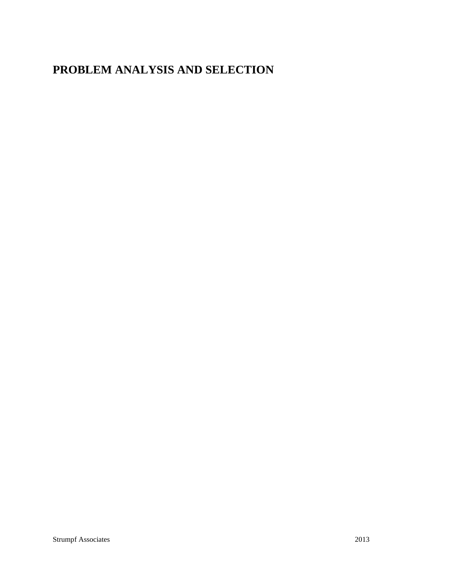# **PROBLEM ANALYSIS AND SELECTION**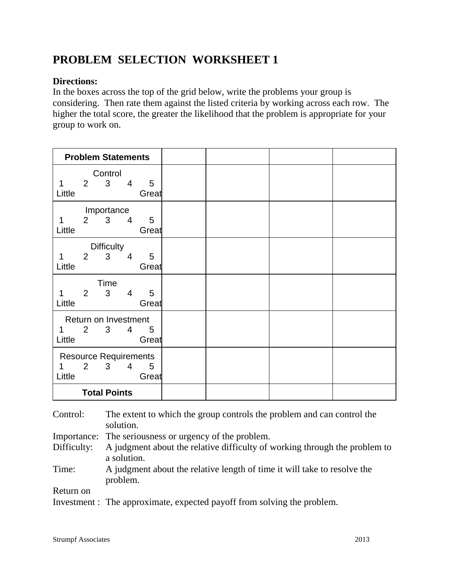### **PROBLEM SELECTION WORKSHEET 1**

### **Directions:**

In the boxes across the top of the grid below, write the problems your group is considering. Then rate them against the listed criteria by working across each row. The higher the total score, the greater the likelihood that the problem is appropriate for your group to work on.

| <b>Problem Statements</b>    |                |                   |                |                 |  |  |
|------------------------------|----------------|-------------------|----------------|-----------------|--|--|
| Control                      |                |                   |                |                 |  |  |
| 1                            | $\overline{2}$ | $\mathbf{3}$      | 4              | 5               |  |  |
| Little                       |                |                   |                | Great           |  |  |
| Importance                   |                |                   |                |                 |  |  |
| 1<br>Little                  |                | $2 \quad 3$       | $\overline{4}$ | 5<br>Great      |  |  |
|                              |                |                   |                |                 |  |  |
|                              |                | <b>Difficulty</b> |                |                 |  |  |
| 1                            | 2              | 3                 | $\overline{4}$ | 5               |  |  |
| Little                       |                |                   |                | Great           |  |  |
| Time                         |                |                   |                |                 |  |  |
| 1                            | $2^{\circ}$    | $\mathbf{3}$      | 4              | 5               |  |  |
| Little                       |                |                   |                | Great           |  |  |
| Return on Investment         |                |                   |                |                 |  |  |
| 1                            |                | $2 \quad 3$       | $\overline{4}$ | $5\phantom{.0}$ |  |  |
| Little                       |                |                   |                | Great           |  |  |
| <b>Resource Requirements</b> |                |                   |                |                 |  |  |
| 1                            |                | $2 \quad 3$       | $\overline{4}$ | 5               |  |  |
| Little                       |                |                   |                | Great           |  |  |
| <b>Total Points</b>          |                |                   |                |                 |  |  |

| Control:    | The extent to which the group controls the problem and can control the<br>solution.  |
|-------------|--------------------------------------------------------------------------------------|
|             | Importance: The seriousness or urgency of the problem.                               |
| Difficulty: | A judgment about the relative difficulty of working through the problem to           |
|             | a solution.                                                                          |
| Time:       | A judgment about the relative length of time it will take to resolve the<br>problem. |
| Return on   |                                                                                      |
|             | Investment : The approximate, expected payoff from solving the problem.              |